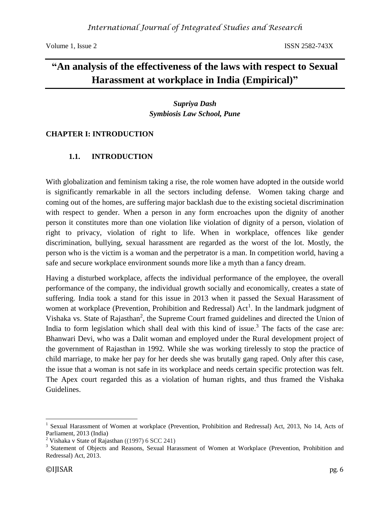# **"An analysis of the effectiveness of the laws with respect to Sexual Harassment at workplace in India (Empirical)"**

*Supriya Dash Symbiosis Law School, Pune*

### **CHAPTER I: INTRODUCTION**

### **1.1. INTRODUCTION**

With globalization and feminism taking a rise, the role women have adopted in the outside world is significantly remarkable in all the sectors including defense. Women taking charge and coming out of the homes, are suffering major backlash due to the existing societal discrimination with respect to gender. When a person in any form encroaches upon the dignity of another person it constitutes more than one violation like violation of dignity of a person, violation of right to privacy, violation of right to life. When in workplace, offences like gender discrimination, bullying, sexual harassment are regarded as the worst of the lot. Mostly, the person who is the victim is a woman and the perpetrator is a man. In competition world, having a safe and secure workplace environment sounds more like a myth than a fancy dream.

Having a disturbed workplace, affects the individual performance of the employee, the overall performance of the company, the individual growth socially and economically, creates a state of suffering. India took a stand for this issue in 2013 when it passed the Sexual Harassment of women at workplace (Prevention, Prohibition and Redressal)  $Act^1$ . In the landmark judgment of Vishaka vs. State of Rajasthan<sup>2</sup>, the Supreme Court framed guidelines and directed the Union of India to form legislation which shall deal with this kind of issue.<sup>3</sup> The facts of the case are: Bhanwari Devi, who was a Dalit woman and employed under the Rural development project of the government of Rajasthan in 1992. While she was working tirelessly to stop the practice of child marriage, to make her pay for her deeds she was brutally gang raped. Only after this case, the issue that a woman is not safe in its workplace and needs certain specific protection was felt. The Apex court regarded this as a violation of human rights, and thus framed the Vishaka Guidelines.

 $\overline{a}$ <sup>1</sup> Sexual Harassment of Women at workplace (Prevention, Prohibition and Redressal) Act, 2013, No 14, Acts of Parliament, 2013 (India)

<sup>&</sup>lt;sup>2</sup> Vishaka v State of Rajasthan ((1997) 6 SCC 241)

<sup>&</sup>lt;sup>3</sup> Statement of Objects and Reasons, Sexual Harassment of Women at Workplace (Prevention, Prohibition and Redressal) Act, 2013.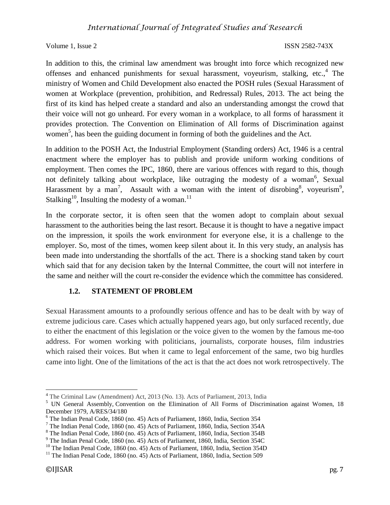In addition to this, the criminal law amendment was brought into force which recognized new offenses and enhanced punishments for sexual harassment, voyeurism, stalking, etc., 4 The ministry of Women and Child Development also enacted the POSH rules (Sexual Harassment of women at Workplace (prevention, prohibition, and Redressal) Rules, 2013. The act being the first of its kind has helped create a standard and also an understanding amongst the crowd that their voice will not go unheard. For every woman in a workplace, to all forms of harassment it provides protection. The Convention on Elimination of All forms of Discrimination against women<sup>5</sup>, has been the guiding document in forming of both the guidelines and the Act.

In addition to the POSH Act, the Industrial Employment (Standing orders) Act, 1946 is a central enactment where the employer has to publish and provide uniform working conditions of employment. Then comes the IPC, 1860, there are various offences with regard to this, though not definitely talking about workplace, like outraging the modesty of a woman<sup>6</sup>, Sexual Harassment by a man<sup>7</sup>, Assault with a woman with the intent of disrobing<sup>8</sup>, voyeurism<sup>9</sup>, Stalking<sup>10</sup>, Insulting the modesty of a woman.<sup>11</sup>

In the corporate sector, it is often seen that the women adopt to complain about sexual harassment to the authorities being the last resort. Because it is thought to have a negative impact on the impression, it spoils the work environment for everyone else, it is a challenge to the employer. So, most of the times, women keep silent about it. In this very study, an analysis has been made into understanding the shortfalls of the act. There is a shocking stand taken by court which said that for any decision taken by the Internal Committee, the court will not interfere in the same and neither will the court re-consider the evidence which the committee has considered.

## **1.2. STATEMENT OF PROBLEM**

Sexual Harassment amounts to a profoundly serious offence and has to be dealt with by way of extreme judicious care. Cases which actually happened years ago, but only surfaced recently, due to either the enactment of this legislation or the voice given to the women by the famous me-too address. For women working with politicians, journalists, corporate houses, film industries which raised their voices. But when it came to legal enforcement of the same, two big hurdles came into light. One of the limitations of the act is that the act does not work retrospectively. The

 $\overline{\phantom{a}}$ 

<sup>&</sup>lt;sup>4</sup> The Criminal Law (Amendment) Act, 2013 (No. 13). Acts of Parliament, 2013, India

<sup>&</sup>lt;sup>5</sup> UN General Assembly, Convention on the Elimination of All Forms of Discrimination against Women, 18 December 1979, A/RES/34/180

<sup>6</sup> The Indian Penal Code, 1860 (no. 45) Acts of Parliament, 1860, India, Section 354

<sup>7</sup> The Indian Penal Code, 1860 (no. 45) Acts of Parliament, 1860, India, Section 354A

<sup>8</sup> The Indian Penal Code, 1860 (no. 45) Acts of Parliament, 1860, India, Section 354B

<sup>9</sup> The Indian Penal Code, 1860 (no. 45) Acts of Parliament, 1860, India, Section 354C

<sup>&</sup>lt;sup>10</sup> The Indian Penal Code, 1860 (no. 45) Acts of Parliament, 1860, India, Section 354D

 $11$  The Indian Penal Code, 1860 (no. 45) Acts of Parliament, 1860, India, Section 509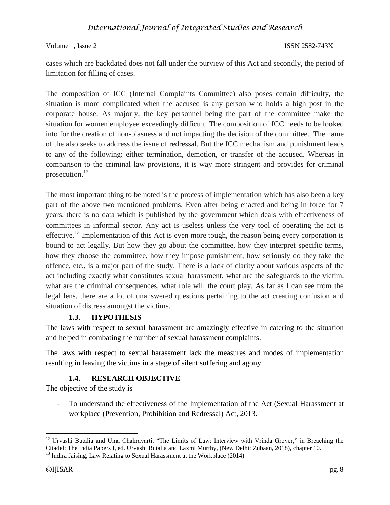Volume 1, Issue 2 ISSN 2582-743X

cases which are backdated does not fall under the purview of this Act and secondly, the period of limitation for filling of cases.

The composition of ICC (Internal Complaints Committee) also poses certain difficulty, the situation is more complicated when the accused is any person who holds a high post in the corporate house. As majorly, the key personnel being the part of the committee make the situation for women employee exceedingly difficult. The composition of ICC needs to be looked into for the creation of non-biasness and not impacting the decision of the committee. The name of the also seeks to address the issue of redressal. But the ICC mechanism and punishment leads to any of the following: either termination, demotion, or transfer of the accused. Whereas in comparison to the criminal law provisions, it is way more stringent and provides for criminal prosecution.<sup>12</sup>

The most important thing to be noted is the process of implementation which has also been a key part of the above two mentioned problems. Even after being enacted and being in force for 7 years, there is no data which is published by the government which deals with effectiveness of committees in informal sector. Any act is useless unless the very tool of operating the act is effective.<sup>13</sup> Implementation of this Act is even more tough, the reason being every corporation is bound to act legally. But how they go about the committee, how they interpret specific terms, how they choose the committee, how they impose punishment, how seriously do they take the offence, etc., is a major part of the study. There is a lack of clarity about various aspects of the act including exactly what constitutes sexual harassment, what are the safeguards to the victim, what are the criminal consequences, what role will the court play. As far as I can see from the legal lens, there are a lot of unanswered questions pertaining to the act creating confusion and situation of distress amongst the victims.

### **1.3. HYPOTHESIS**

The laws with respect to sexual harassment are amazingly effective in catering to the situation and helped in combating the number of sexual harassment complaints.

The laws with respect to sexual harassment lack the measures and modes of implementation resulting in leaving the victims in a stage of silent suffering and agony.

### **1.4. RESEARCH OBJECTIVE**

The objective of the study is

- To understand the effectiveness of the Implementation of the Act (Sexual Harassment at workplace (Prevention, Prohibition and Redressal) Act, 2013.

 $\overline{\phantom{a}}$ 

<sup>&</sup>lt;sup>12</sup> Urvashi Butalia and Uma Chakravarti, "The Limits of Law: Interview with Vrinda Grover," in Breaching the Citadel: The India Papers I, ed. Urvashi Butalia and Laxmi Murthy, (New Delhi: Zubaan, 2018), chapter 10.

 $13$  Indira Jaising, Law Relating to Sexual Harassment at the Workplace (2014)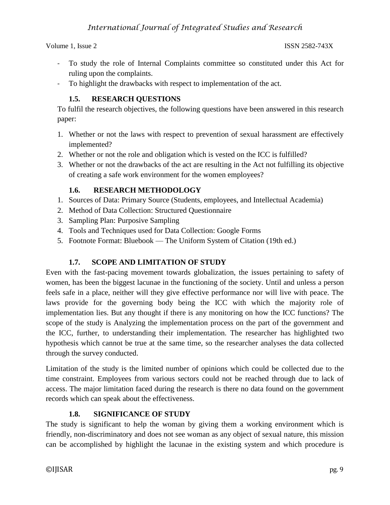- To study the role of Internal Complaints committee so constituted under this Act for ruling upon the complaints.
- To highlight the drawbacks with respect to implementation of the act.

## **1.5. RESEARCH QUESTIONS**

To fulfil the research objectives, the following questions have been answered in this research paper:

- 1. Whether or not the laws with respect to prevention of sexual harassment are effectively implemented?
- 2. Whether or not the role and obligation which is vested on the ICC is fulfilled?
- 3. Whether or not the drawbacks of the act are resulting in the Act not fulfilling its objective of creating a safe work environment for the women employees?

## **1.6. RESEARCH METHODOLOGY**

- 1. Sources of Data: Primary Source (Students, employees, and Intellectual Academia)
- 2. Method of Data Collection: Structured Questionnaire
- 3. Sampling Plan: Purposive Sampling
- 4. Tools and Techniques used for Data Collection: Google Forms
- 5. Footnote Format: Bluebook The Uniform System of Citation (19th ed.)

## **1.7. SCOPE AND LIMITATION OF STUDY**

Even with the fast-pacing movement towards globalization, the issues pertaining to safety of women, has been the biggest lacunae in the functioning of the society. Until and unless a person feels safe in a place, neither will they give effective performance nor will live with peace. The laws provide for the governing body being the ICC with which the majority role of implementation lies. But any thought if there is any monitoring on how the ICC functions? The scope of the study is Analyzing the implementation process on the part of the government and the ICC, further, to understanding their implementation. The researcher has highlighted two hypothesis which cannot be true at the same time, so the researcher analyses the data collected through the survey conducted.

Limitation of the study is the limited number of opinions which could be collected due to the time constraint. Employees from various sectors could not be reached through due to lack of access. The major limitation faced during the research is there no data found on the government records which can speak about the effectiveness.

## **1.8. SIGNIFICANCE OF STUDY**

The study is significant to help the woman by giving them a working environment which is friendly, non-discriminatory and does not see woman as any object of sexual nature, this mission can be accomplished by highlight the lacunae in the existing system and which procedure is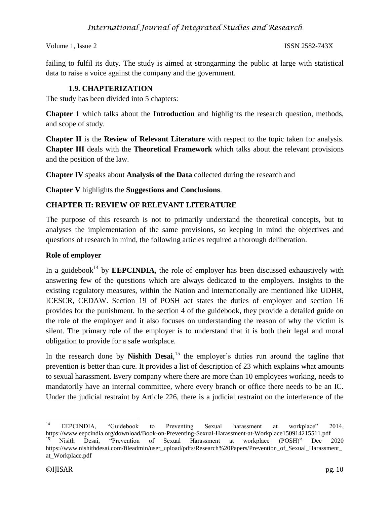Volume 1, Issue 2 ISSN 2582-743X

failing to fulfil its duty. The study is aimed at strongarming the public at large with statistical data to raise a voice against the company and the government.

## **1.9. CHAPTERIZATION**

The study has been divided into 5 chapters:

**Chapter 1** which talks about the **Introduction** and highlights the research question, methods, and scope of study.

**Chapter II** is the **Review of Relevant Literature** with respect to the topic taken for analysis. **Chapter III** deals with the **Theoretical Framework** which talks about the relevant provisions and the position of the law.

**Chapter IV** speaks about **Analysis of the Data** collected during the research and

**Chapter V** highlights the **Suggestions and Conclusions**.

## **CHAPTER II: REVIEW OF RELEVANT LITERATURE**

The purpose of this research is not to primarily understand the theoretical concepts, but to analyses the implementation of the same provisions, so keeping in mind the objectives and questions of research in mind, the following articles required a thorough deliberation.

### **Role of employer**

In a guidebook<sup>14</sup> by **EEPCINDIA**, the role of employer has been discussed exhaustively with answering few of the questions which are always dedicated to the employers. Insights to the existing regulatory measures, within the Nation and internationally are mentioned like UDHR, ICESCR, CEDAW. Section 19 of POSH act states the duties of employer and section 16 provides for the punishment. In the section 4 of the guidebook, they provide a detailed guide on the role of the employer and it also focuses on understanding the reason of why the victim is silent. The primary role of the employer is to understand that it is both their legal and moral obligation to provide for a safe workplace.

In the research done by **Nishith Desai**,<sup>15</sup> the employer's duties run around the tagline that prevention is better than cure. It provides a list of description of 23 which explains what amounts to sexual harassment. Every company where there are more than 10 employees working, needs to mandatorily have an internal committee, where every branch or office there needs to be an IC. Under the judicial restraint by Article 226, there is a judicial restraint on the interference of the

 $14$ <sup>14</sup> EEPCINDIA, "Guidebook to Preventing Sexual harassment at workplace" 2014, <https://www.eepcindia.org/download/Book-on-Preventing-Sexual-Harassment-at-Workplace150914215511.pdf>

<sup>15</sup> Nisith Desai, "Prevention of Sexual Harassment at workplace (POSH)" Dec 2020 https://www.nishithdesai.com/fileadmin/user\_upload/pdfs/Research%20Papers/Prevention\_of\_Sexual\_Harassment\_ at\_Workplace.pdf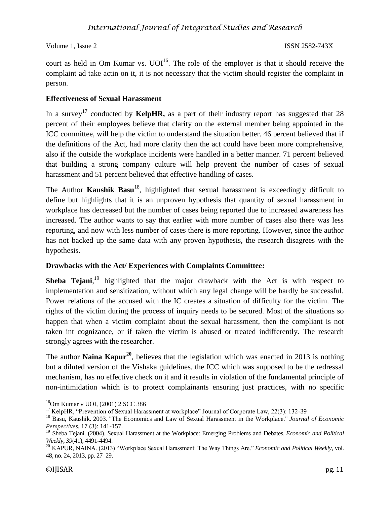court as held in Om Kumar vs.  $UOI<sup>16</sup>$ . The role of the employer is that it should receive the complaint ad take actin on it, it is not necessary that the victim should register the complaint in person.

### **Effectiveness of Sexual Harassment**

In a survey<sup>17</sup> conducted by **KelpHR**, as a part of their industry report has suggested that 28 percent of their employees believe that clarity on the external member being appointed in the ICC committee, will help the victim to understand the situation better. 46 percent believed that if the definitions of the Act, had more clarity then the act could have been more comprehensive, also if the outside the workplace incidents were handled in a better manner. 71 percent believed that building a strong company culture will help prevent the number of cases of sexual harassment and 51 percent believed that effective handling of cases.

The Author **Kaushik Basu<sup>18</sup>**, highlighted that sexual harassment is exceedingly difficult to define but highlights that it is an unproven hypothesis that quantity of sexual harassment in workplace has decreased but the number of cases being reported due to increased awareness has increased. The author wants to say that earlier with more number of cases also there was less reporting, and now with less number of cases there is more reporting. However, since the author has not backed up the same data with any proven hypothesis, the research disagrees with the hypothesis.

## **Drawbacks with the Act/ Experiences with Complaints Committee:**

**Sheba Tejani**,<sup>19</sup> highlighted that the major drawback with the Act is with respect to implementation and sensitization, without which any legal change will be hardly be successful. Power relations of the accused with the IC creates a situation of difficulty for the victim. The rights of the victim during the process of inquiry needs to be secured. Most of the situations so happen that when a victim complaint about the sexual harassment, then the compliant is not taken int cognizance, or if taken the victim is abused or treated indifferently. The research strongly agrees with the researcher.

The author **Naina Kapur<sup>20</sup>**, believes that the legislation which was enacted in 2013 is nothing but a diluted version of the Vishaka guidelines. the ICC which was supposed to be the redressal mechanism, has no effective check on it and it results in violation of the fundamental principle of non-intimidation which is to protect complainants ensuring just practices, with no specific

 $\overline{a}$ 

<sup>16</sup>Om Kumar v UOI, (2001) 2 SCC 386

<sup>&</sup>lt;sup>17</sup> KelpHR, "Prevention of Sexual Harassment at workplace" Journal of Corporate Law, 22(3): 132-39

<sup>18</sup> Basu, Kaushik. 2003. "The Economics and Law of Sexual Harassment in the Workplace." *Journal of Economic Perspectives*, 17 (3): 141-157.

<sup>19</sup> Sheba Tejani. (2004). Sexual Harassment at the Workplace: Emerging Problems and Debates. *Economic and Political Weekly, 39*(41), 4491-4494.

<sup>20</sup> KAPUR, NAINA. (2013) "Workplace Sexual Harassment: The Way Things Are." *Economic and Political Weekly*, vol. 48, no. 24, 2013, pp. 27–29.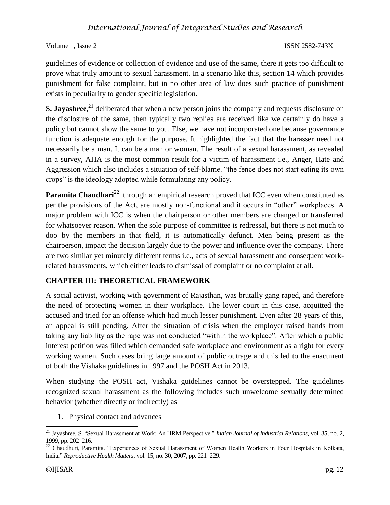Volume 1, Issue 2 ISSN 2582-743X

guidelines of evidence or collection of evidence and use of the same, there it gets too difficult to prove what truly amount to sexual harassment. In a scenario like this, section 14 which provides punishment for false complaint, but in no other area of law does such practice of punishment exists in peculiarity to gender specific legislation.

**S. Jayashree**,<sup>21</sup> deliberated that when a new person joins the company and requests disclosure on the disclosure of the same, then typically two replies are received like we certainly do have a policy but cannot show the same to you. Else, we have not incorporated one because governance function is adequate enough for the purpose. It highlighted the fact that the harasser need not necessarily be a man. It can be a man or woman. The result of a sexual harassment, as revealed in a survey, AHA is the most common result for a victim of harassment i.e., Anger, Hate and Aggression which also includes a situation of self-blame. "the fence does not start eating its own crops" is the ideology adopted while formulating any policy.

**Paramita Chaudhari**<sup>22</sup> through an empirical research proved that ICC even when constituted as per the provisions of the Act, are mostly non-functional and it occurs in "other" workplaces. A major problem with ICC is when the chairperson or other members are changed or transferred for whatsoever reason. When the sole purpose of committee is redressal, but there is not much to doo by the members in that field, it is automatically defunct. Men being present as the chairperson, impact the decision largely due to the power and influence over the company. There are two similar yet minutely different terms i.e., acts of sexual harassment and consequent workrelated harassments, which either leads to dismissal of complaint or no complaint at all.

### **CHAPTER III: THEORETICAL FRAMEWORK**

A social activist, working with government of Rajasthan, was brutally gang raped, and therefore the need of protecting women in their workplace. The lower court in this case, acquitted the accused and tried for an offense which had much lesser punishment. Even after 28 years of this, an appeal is still pending. After the situation of crisis when the employer raised hands from taking any liability as the rape was not conducted "within the workplace". After which a public interest petition was filled which demanded safe workplace and environment as a right for every working women. Such cases bring large amount of public outrage and this led to the enactment of both the Vishaka guidelines in 1997 and the POSH Act in 2013.

When studying the POSH act, Vishaka guidelines cannot be overstepped. The guidelines recognized sexual harassment as the following includes such unwelcome sexually determined behavior (whether directly or indirectly) as

1. Physical contact and advances

 $\overline{\phantom{a}}$ 

<sup>21</sup> Jayashree, S. "Sexual Harassment at Work: An HRM Perspective." *Indian Journal of Industrial Relations*, vol. 35, no. 2, 1999, pp. 202–216.

<sup>&</sup>lt;sup>22</sup> Chaudhuri, Paramita. "Experiences of Sexual Harassment of Women Health Workers in Four Hospitals in Kolkata, India." *Reproductive Health Matters*, vol. 15, no. 30, 2007, pp. 221–229.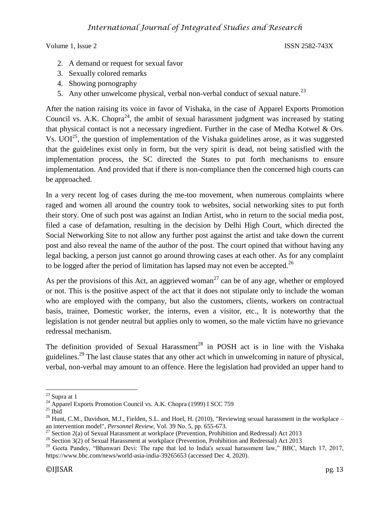- 2. A demand or request for sexual favor
- 3. Sexually colored remarks
- 4. Showing pornography
- 5. Any other unwelcome physical, verbal non-verbal conduct of sexual nature.<sup>23</sup>

After the nation raising its voice in favor of Vishaka, in the case of Apparel Exports Promotion Council vs. A.K. Chopra<sup>24</sup>, the ambit of sexual harassment judgment was increased by stating that physical contact is not a necessary ingredient. Further in the case of Medha Kotwel & Ors. Vs.  $UOI^{25}$ , the question of implementation of the Vishaka guidelines arose, as it was suggested that the guidelines exist only in form, but the very spirit is dead, not being satisfied with the implementation process, the SC directed the States to put forth mechanisms to ensure implementation. And provided that if there is non-compliance then the concerned high courts can be approached.

In a very recent log of cases during the me-too movement, when numerous complaints where raged and women all around the country took to websites, social networking sites to put forth their story. One of such post was against an Indian Artist, who in return to the social media post, filed a case of defamation, resulting in the decision by Delhi High Court, which directed the Social Networking Site to not allow any further post against the artist and take down the current post and also reveal the name of the author of the post. The court opined that without having any legal backing, a person just cannot go around throwing cases at each other. As for any complaint to be logged after the period of limitation has lapsed may not even be accepted.<sup>26</sup>

As per the provisions of this Act, an aggrieved woman<sup>27</sup> can be of any age, whether or employed or not. This is the positive aspect of the act that it does not stipulate only to include the woman who are employed with the company, but also the customers, clients, workers on contractual basis, trainee, Domestic worker, the interns, even a visitor, etc., It is noteworthy that the legislation is not gender neutral but applies only to women, so the male victim have no grievance redressal mechanism.

The definition provided of Sexual Harassment<sup>28</sup> in POSH act is in line with the Vishaka guidelines.<sup>29</sup> The last clause states that any other act which in unwelcoming in nature of physical, verbal, non-verbal may amount to an offence. Here the legislation had provided an upper hand to

 $\overline{\phantom{a}}$  $23$  Supra at 1

<sup>&</sup>lt;sup>24</sup> Apparel Exports Promotion Council vs. A.K. Chopra (1999) I SCC 759

 $25$  Ibid

 $^{26}$  Hunt, C.M., Davidson, M.J., Fielden, S.L. and Hoel, H. (2010), "Reviewing sexual harassment in the workplace – an intervention model", *Personnel Review*, Vol. 39 No. 5, pp. 655-673.

<sup>&</sup>lt;sup>27</sup> Section 2(a) of Sexual Harassment at workplace (Prevention, Prohibition and Redressal) Act 2013

<sup>&</sup>lt;sup>28</sup> Section  $3(2)$  of Sexual Harassment at workplace (Prevention, Prohibition and Redressal) Act 2013

<sup>&</sup>lt;sup>29</sup> Geeta Pandey, "Bhanwari Devi: The rape that led to India's sexual harassment law," BBC, March 17, 2017, https://www.bbc.com/news/world-asia-india-39265653 (accessed Dec 4, 2020).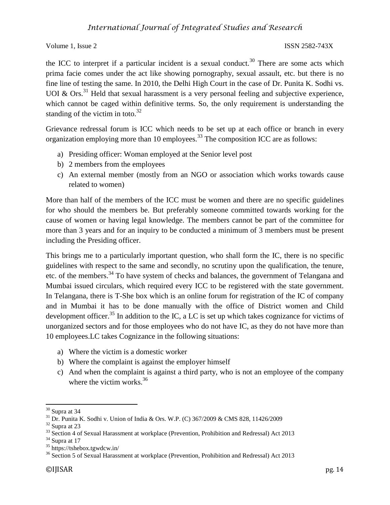the ICC to interpret if a particular incident is a sexual conduct.<sup>30</sup> There are some acts which prima facie comes under the act like showing pornography, sexual assault, etc. but there is no fine line of testing the same. In 2010, the Delhi High Court in the case of Dr. Punita K. Sodhi vs. UOI & Ors.<sup>31</sup> Held that sexual harassment is a very personal feeling and subjective experience, which cannot be caged within definitive terms. So, the only requirement is understanding the standing of the victim in toto. $32$ 

Grievance redressal forum is ICC which needs to be set up at each office or branch in every organization employing more than 10 employees.<sup>33</sup> The composition ICC are as follows:

- a) Presiding officer: Woman employed at the Senior level post
- b) 2 members from the employees
- c) An external member (mostly from an NGO or association which works towards cause related to women)

More than half of the members of the ICC must be women and there are no specific guidelines for who should the members be. But preferably someone committed towards working for the cause of women or having legal knowledge. The members cannot be part of the committee for more than 3 years and for an inquiry to be conducted a minimum of 3 members must be present including the Presiding officer.

This brings me to a particularly important question, who shall form the IC, there is no specific guidelines with respect to the same and secondly, no scrutiny upon the qualification, the tenure, etc. of the members.<sup>34</sup> To have system of checks and balances, the government of Telangana and Mumbai issued circulars, which required every ICC to be registered with the state government. In Telangana, there is T-She box which is an online forum for registration of the IC of company and in Mumbai it has to be done manually with the office of District women and Child development officer.<sup>35</sup> In addition to the IC, a LC is set up which takes cognizance for victims of unorganized sectors and for those employees who do not have IC, as they do not have more than 10 employees.LC takes Cognizance in the following situations:

- a) Where the victim is a domestic worker
- b) Where the complaint is against the employer himself
- c) And when the complaint is against a third party, who is not an employee of the company where the victim works. $36$

 $\overline{\phantom{a}}$  $30$  Supra at 34

<sup>31</sup> Dr. Punita K. Sodhi v. Union of India & Ors. W.P. (C) 367/2009 & CMS 828, 11426/2009

 $32$  Supra at 23

<sup>33</sup> Section 4 of Sexual Harassment at workplace (Prevention, Prohibition and Redressal) Act 2013

 $34$  Supra at 17

<sup>35</sup> https://tshebox.tgwdcw.in/

<sup>&</sup>lt;sup>36</sup> Section 5 of Sexual Harassment at workplace (Prevention, Prohibition and Redressal) Act 2013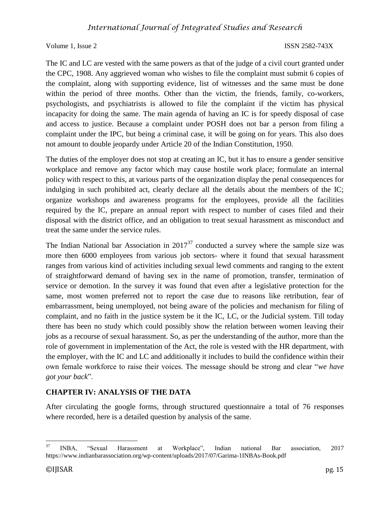The IC and LC are vested with the same powers as that of the judge of a civil court granted under the CPC, 1908. Any aggrieved woman who wishes to file the complaint must submit 6 copies of the complaint, along with supporting evidence, list of witnesses and the same must be done within the period of three months. Other than the victim, the friends, family, co-workers, psychologists, and psychiatrists is allowed to file the complaint if the victim has physical incapacity for doing the same. The main agenda of having an IC is for speedy disposal of case and access to justice. Because a complaint under POSH does not bar a person from filing a complaint under the IPC, but being a criminal case, it will be going on for years. This also does not amount to double jeopardy under Article 20 of the Indian Constitution, 1950.

The duties of the employer does not stop at creating an IC, but it has to ensure a gender sensitive workplace and remove any factor which may cause hostile work place; formulate an internal policy with respect to this, at various parts of the organization display the penal consequences for indulging in such prohibited act, clearly declare all the details about the members of the IC; organize workshops and awareness programs for the employees, provide all the facilities required by the IC, prepare an annual report with respect to number of cases filed and their disposal with the district office, and an obligation to treat sexual harassment as misconduct and treat the same under the service rules.

The Indian National bar Association in  $2017^{37}$  conducted a survey where the sample size was more then 6000 employees from various job sectors- where it found that sexual harassment ranges from various kind of activities including sexual lewd comments and ranging to the extent of straightforward demand of having sex in the name of promotion, transfer, termination of service or demotion. In the survey it was found that even after a legislative protection for the same, most women preferred not to report the case due to reasons like retribution, fear of embarrassment, being unemployed, not being aware of the policies and mechanism for filing of complaint, and no faith in the justice system be it the IC, LC, or the Judicial system. Till today there has been no study which could possibly show the relation between women leaving their jobs as a recourse of sexual harassment. So, as per the understanding of the author, more than the role of government in implementation of the Act, the role is vested with the HR department, with the employer, with the IC and LC and additionally it includes to build the confidence within their own female workforce to raise their voices. The message should be strong and clear "*we have got your back*".

## **CHAPTER IV: ANALYSIS OF THE DATA**

After circulating the google forms, through structured questionnaire a total of 76 responses where recorded, here is a detailed question by analysis of the same.

<sup>37</sup> <sup>37</sup> INBA, "Sexual Harassment at Workplace", Indian national Bar association, 2017 https://www.indianbarassociation.org/wp-content/uploads/2017/07/Garima-1INBAs-Book.pdf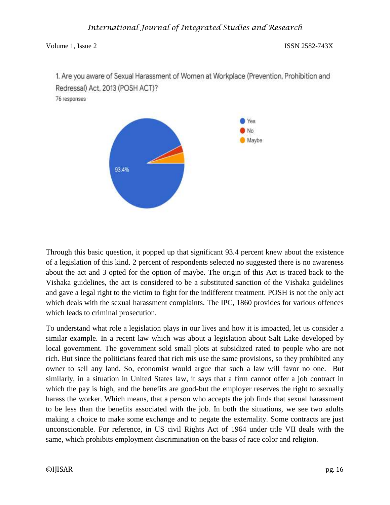1. Are you aware of Sexual Harassment of Women at Workplace (Prevention, Prohibition and Redressal) Act, 2013 (POSH ACT)?

76 responses



Through this basic question, it popped up that significant 93.4 percent knew about the existence of a legislation of this kind. 2 percent of respondents selected no suggested there is no awareness about the act and 3 opted for the option of maybe. The origin of this Act is traced back to the Vishaka guidelines, the act is considered to be a substituted sanction of the Vishaka guidelines and gave a legal right to the victim to fight for the indifferent treatment. POSH is not the only act which deals with the sexual harassment complaints. The IPC, 1860 provides for various offences which leads to criminal prosecution.

To understand what role a legislation plays in our lives and how it is impacted, let us consider a similar example. In a recent law which was about a legislation about Salt Lake developed by local government. The government sold small plots at subsidized rated to people who are not rich. But since the politicians feared that rich mis use the same provisions, so they prohibited any owner to sell any land. So, economist would argue that such a law will favor no one. But similarly, in a situation in United States law, it says that a firm cannot offer a job contract in which the pay is high, and the benefits are good-but the employer reserves the right to sexually harass the worker. Which means, that a person who accepts the job finds that sexual harassment to be less than the benefits associated with the job. In both the situations, we see two adults making a choice to make some exchange and to negate the externality. Some contracts are just unconscionable. For reference, in US civil Rights Act of 1964 under title VII deals with the same, which prohibits employment discrimination on the basis of race color and religion.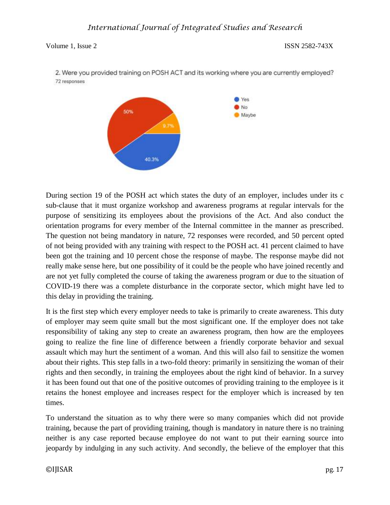

2. Were you provided training on POSH ACT and its working where you are currently employed? 72 responses

During section 19 of the POSH act which states the duty of an employer, includes under its c sub-clause that it must organize workshop and awareness programs at regular intervals for the purpose of sensitizing its employees about the provisions of the Act. And also conduct the orientation programs for every member of the Internal committee in the manner as prescribed. The question not being mandatory in nature, 72 responses were recorded, and 50 percent opted of not being provided with any training with respect to the POSH act. 41 percent claimed to have been got the training and 10 percent chose the response of maybe. The response maybe did not really make sense here, but one possibility of it could be the people who have joined recently and are not yet fully completed the course of taking the awareness program or due to the situation of COVID-19 there was a complete disturbance in the corporate sector, which might have led to this delay in providing the training.

It is the first step which every employer needs to take is primarily to create awareness. This duty of employer may seem quite small but the most significant one. If the employer does not take responsibility of taking any step to create an awareness program, then how are the employees going to realize the fine line of difference between a friendly corporate behavior and sexual assault which may hurt the sentiment of a woman. And this will also fail to sensitize the women about their rights. This step falls in a two-fold theory: primarily in sensitizing the woman of their rights and then secondly, in training the employees about the right kind of behavior. In a survey it has been found out that one of the positive outcomes of providing training to the employee is it retains the honest employee and increases respect for the employer which is increased by ten times.

To understand the situation as to why there were so many companies which did not provide training, because the part of providing training, though is mandatory in nature there is no training neither is any case reported because employee do not want to put their earning source into jeopardy by indulging in any such activity. And secondly, the believe of the employer that this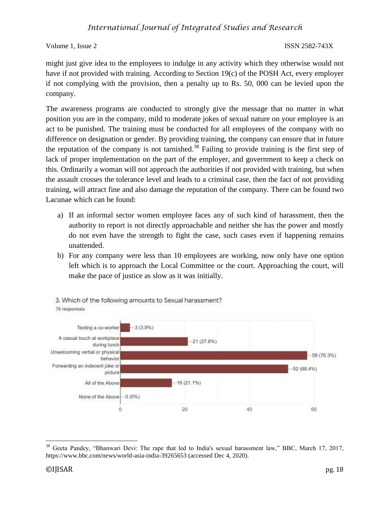Volume 1, Issue 2 ISSN 2582-743X

might just give idea to the employees to indulge in any activity which they otherwise would not have if not provided with training. According to Section 19(c) of the POSH Act, every employer if not complying with the provision, then a penalty up to Rs. 50, 000 can be levied upon the company.

The awareness programs are conducted to strongly give the message that no matter in what position you are in the company, mild to moderate jokes of sexual nature on your employee is an act to be punished. The training must be conducted for all employees of the company with no difference on designation or gender. By providing training, the company can ensure that in future the reputation of the company is not tarnished.<sup>38</sup> Failing to provide training is the first step of lack of proper implementation on the part of the employer, and government to keep a check on this. Ordinarily a woman will not approach the authorities if not provided with training, but when the assault crosses the tolerance level and leads to a criminal case, then the fact of not providing training, will attract fine and also damage the reputation of the company. There can be found two Lacunae which can be found:

- a) If an informal sector women employee faces any of such kind of harassment, then the authority to report is not directly approachable and neither she has the power and mostly do not even have the strength to fight the case, such cases even if happening remains unattended.
- b) For any company were less than 10 employees are working, now only have one option left which is to approach the Local Committee or the court. Approaching the court, will make the pace of justice as slow as it was initially.



3. Which of the following amounts to Sexual harassment? 76 responses

 $\overline{\phantom{a}}$ <sup>38</sup> Geeta Pandey, "Bhanwari Devi: The rape that led to India's sexual harassment law," BBC, March 17, 2017, https://www.bbc.com/news/world-asia-india-39265653 (accessed Dec 4, 2020).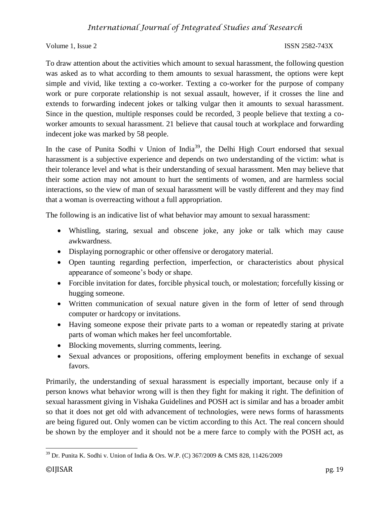Volume 1, Issue 2 ISSN 2582-743X

To draw attention about the activities which amount to sexual harassment, the following question was asked as to what according to them amounts to sexual harassment, the options were kept simple and vivid, like texting a co-worker. Texting a co-worker for the purpose of company work or pure corporate relationship is not sexual assault, however, if it crosses the line and extends to forwarding indecent jokes or talking vulgar then it amounts to sexual harassment. Since in the question, multiple responses could be recorded, 3 people believe that texting a coworker amounts to sexual harassment. 21 believe that causal touch at workplace and forwarding indecent joke was marked by 58 people.

In the case of Punita Sodhi v Union of India<sup>39</sup>, the Delhi High Court endorsed that sexual harassment is a subjective experience and depends on two understanding of the victim: what is their tolerance level and what is their understanding of sexual harassment. Men may believe that their some action may not amount to hurt the sentiments of women, and are harmless social interactions, so the view of man of sexual harassment will be vastly different and they may find that a woman is overreacting without a full appropriation.

The following is an indicative list of what behavior may amount to sexual harassment:

- Whistling, staring, sexual and obscene joke, any joke or talk which may cause awkwardness.
- Displaying pornographic or other offensive or derogatory material.
- Open taunting regarding perfection, imperfection, or characteristics about physical appearance of someone's body or shape.
- Forcible invitation for dates, forcible physical touch, or molestation; forcefully kissing or hugging someone.
- Written communication of sexual nature given in the form of letter of send through computer or hardcopy or invitations.
- Having someone expose their private parts to a woman or repeatedly staring at private parts of woman which makes her feel uncomfortable.
- Blocking movements, slurring comments, leering.
- Sexual advances or propositions, offering employment benefits in exchange of sexual favors.

Primarily, the understanding of sexual harassment is especially important, because only if a person knows what behavior wrong will is then they fight for making it right. The definition of sexual harassment giving in Vishaka Guidelines and POSH act is similar and has a broader ambit so that it does not get old with advancement of technologies, were news forms of harassments are being figured out. Only women can be victim according to this Act. The real concern should be shown by the employer and it should not be a mere farce to comply with the POSH act, as

 $\overline{\phantom{a}}$  $39$  Dr. Punita K. Sodhi v. Union of India & Ors. W.P. (C) 367/2009 & CMS 828, 11426/2009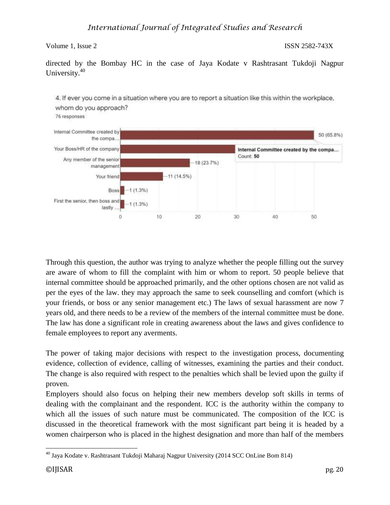directed by the Bombay HC in the case of Jaya Kodate v Rashtrasant Tukdoji Nagpur University.<sup>40</sup>



Through this question, the author was trying to analyze whether the people filling out the survey are aware of whom to fill the complaint with him or whom to report. 50 people believe that internal committee should be approached primarily, and the other options chosen are not valid as per the eyes of the law. they may approach the same to seek counselling and comfort (which is your friends, or boss or any senior management etc.) The laws of sexual harassment are now 7 years old, and there needs to be a review of the members of the internal committee must be done. The law has done a significant role in creating awareness about the laws and gives confidence to female employees to report any averments.

The power of taking major decisions with respect to the investigation process, documenting evidence, collection of evidence, calling of witnesses, examining the parties and their conduct. The change is also required with respect to the penalties which shall be levied upon the guilty if proven.

Employers should also focus on helping their new members develop soft skills in terms of dealing with the complainant and the respondent. ICC is the authority within the company to which all the issues of such nature must be communicated. The composition of the ICC is discussed in the theoretical framework with the most significant part being it is headed by a women chairperson who is placed in the highest designation and more than half of the members

 $\overline{\phantom{a}}$ <sup>40</sup> Jaya Kodate v. Rashtrasant Tukdoji Maharaj Nagpur University (2014 SCC OnLine Bom 814)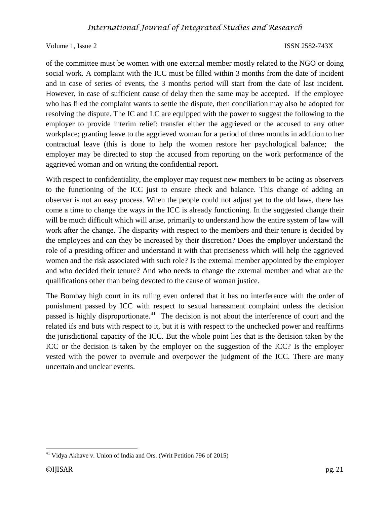of the committee must be women with one external member mostly related to the NGO or doing social work. A complaint with the ICC must be filled within 3 months from the date of incident and in case of series of events, the 3 months period will start from the date of last incident. However, in case of sufficient cause of delay then the same may be accepted. If the employee who has filed the complaint wants to settle the dispute, then conciliation may also be adopted for resolving the dispute. The IC and LC are equipped with the power to suggest the following to the employer to provide interim relief: transfer either the aggrieved or the accused to any other workplace; granting leave to the aggrieved woman for a period of three months in addition to her contractual leave (this is done to help the women restore her psychological balance; the employer may be directed to stop the accused from reporting on the work performance of the aggrieved woman and on writing the confidential report.

With respect to confidentiality, the employer may request new members to be acting as observers to the functioning of the ICC just to ensure check and balance. This change of adding an observer is not an easy process. When the people could not adjust yet to the old laws, there has come a time to change the ways in the ICC is already functioning. In the suggested change their will be much difficult which will arise, primarily to understand how the entire system of law will work after the change. The disparity with respect to the members and their tenure is decided by the employees and can they be increased by their discretion? Does the employer understand the role of a presiding officer and understand it with that preciseness which will help the aggrieved women and the risk associated with such role? Is the external member appointed by the employer and who decided their tenure? And who needs to change the external member and what are the qualifications other than being devoted to the cause of woman justice.

The Bombay high court in its ruling even ordered that it has no interference with the order of punishment passed by ICC with respect to sexual harassment complaint unless the decision passed is highly disproportionate.<sup>41</sup> The decision is not about the interference of court and the related ifs and buts with respect to it, but it is with respect to the unchecked power and reaffirms the jurisdictional capacity of the ICC. But the whole point lies that is the decision taken by the ICC or the decision is taken by the employer on the suggestion of the ICC? Is the employer vested with the power to overrule and overpower the judgment of the ICC. There are many uncertain and unclear events.

 $\overline{\phantom{a}}$ <sup>41</sup> Vidya Akhave v. Union of India and Ors. (Writ Petition 796 of 2015)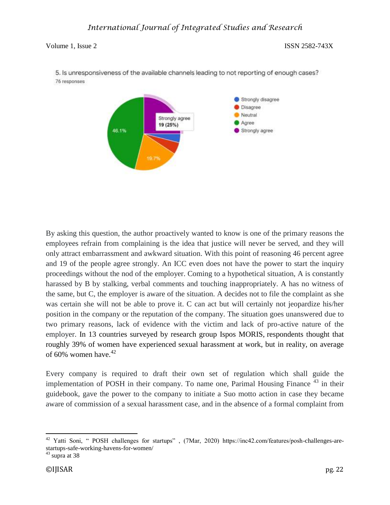

5. Is unresponsiveness of the available channels leading to not reporting of enough cases? 76 responses

By asking this question, the author proactively wanted to know is one of the primary reasons the employees refrain from complaining is the idea that justice will never be served, and they will only attract embarrassment and awkward situation. With this point of reasoning 46 percent agree and 19 of the people agree strongly. An ICC even does not have the power to start the inquiry proceedings without the nod of the employer. Coming to a hypothetical situation, A is constantly harassed by B by stalking, verbal comments and touching inappropriately. A has no witness of the same, but C, the employer is aware of the situation. A decides not to file the complaint as she was certain she will not be able to prove it. C can act but will certainly not jeopardize his/her position in the company or the reputation of the company. The situation goes unanswered due to two primary reasons, lack of evidence with the victim and lack of pro-active nature of the employer. In 13 countries surveyed by research group Ispos MORIS, respondents thought that roughly 39% of women have experienced sexual harassment at work, but in reality, on average of 60% women have. $42$ 

Every company is required to draft their own set of regulation which shall guide the implementation of POSH in their company. To name one, Parimal Housing Finance<sup>43</sup> in their guidebook, gave the power to the company to initiate a Suo motto action in case they became aware of commission of a sexual harassment case, and in the absence of a formal complaint from

 $\overline{\phantom{a}}$ <sup>42</sup> Yatti Soni, " POSH challenges for startups", (7Mar, 2020) https://inc42.com/features/posh-challenges-arestartups-safe-working-havens-for-women/

 $43$  supra at 38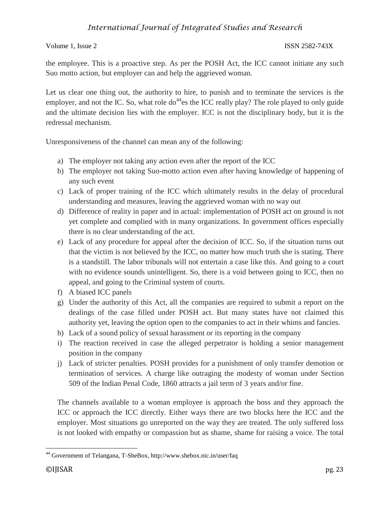the employee. This is a proactive step. As per the POSH Act, the ICC cannot initiate any such Suo motto action, but employer can and help the aggrieved woman.

Let us clear one thing out, the authority to hire, to punish and to terminate the services is the employer, and not the IC. So, what role  $do^{44}$ es the ICC really play? The role played to only guide and the ultimate decision lies with the employer. ICC is not the disciplinary body, but it is the redressal mechanism.

Unresponsiveness of the channel can mean any of the following:

- a) The employer not taking any action even after the report of the ICC
- b) The employer not taking Suo-motto action even after having knowledge of happening of any such event
- c) Lack of proper training of the ICC which ultimately results in the delay of procedural understanding and measures, leaving the aggrieved woman with no way out
- d) Difference of reality in paper and in actual: implementation of POSH act on ground is not yet complete and complied with in many organizations. In government offices especially there is no clear understanding of the act.
- e) Lack of any procedure for appeal after the decision of ICC. So, if the situation turns out that the victim is not believed by the ICC, no matter how much truth she is stating. There is a standstill. The labor tribunals will not entertain a case like this. And going to a court with no evidence sounds unintelligent. So, there is a void between going to ICC, then no appeal, and going to the Criminal system of courts.
- f) A biased ICC panels
- g) Under the authority of this Act, all the companies are required to submit a report on the dealings of the case filled under POSH act. But many states have not claimed this authority yet, leaving the option open to the companies to act in their whims and fancies.
- h) Lack of a sound policy of sexual harassment or its reporting in the company
- i) The reaction received in case the alleged perpetrator is holding a senior management position in the company
- j) Lack of stricter penalties. POSH provides for a punishment of only transfer demotion or termination of services. A charge like outraging the modesty of woman under Section 509 of the Indian Penal Code, 1860 attracts a jail term of 3 years and/or fine.

The channels available to a woman employee is approach the boss and they approach the ICC or approach the ICC directly. Either ways there are two blocks here the ICC and the employer. Most situations go unreported on the way they are treated. The only suffered loss is not looked with empathy or compassion but as shame, shame for raising a voice. The total

 $\overline{\phantom{a}}$ <sup>44</sup> Government of Telangana, T-SheBox, http://www.shebox.nic.in/user/faq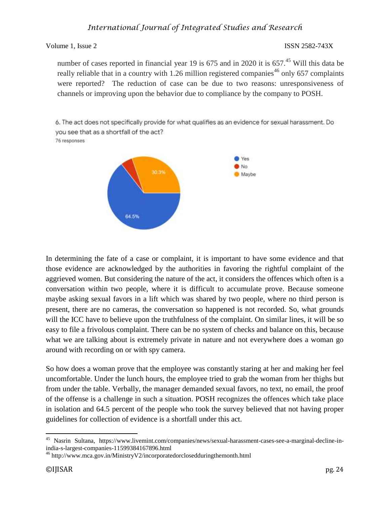number of cases reported in financial year 19 is 675 and in 2020 it is 657.<sup>45</sup> Will this data be really reliable that in a country with 1.26 million registered companies<sup>46</sup> only 657 complaints were reported? The reduction of case can be due to two reasons: unresponsiveness of channels or improving upon the behavior due to compliance by the company to POSH.

6. The act does not specifically provide for what qualifies as an evidence for sexual harassment. Do you see that as a shortfall of the act?

76 responses



In determining the fate of a case or complaint, it is important to have some evidence and that those evidence are acknowledged by the authorities in favoring the rightful complaint of the aggrieved women. But considering the nature of the act, it considers the offences which often is a conversation within two people, where it is difficult to accumulate prove. Because someone maybe asking sexual favors in a lift which was shared by two people, where no third person is present, there are no cameras, the conversation so happened is not recorded. So, what grounds will the ICC have to believe upon the truthfulness of the complaint. On similar lines, it will be so easy to file a frivolous complaint. There can be no system of checks and balance on this, because what we are talking about is extremely private in nature and not everywhere does a woman go around with recording on or with spy camera.

So how does a woman prove that the employee was constantly staring at her and making her feel uncomfortable. Under the lunch hours, the employee tried to grab the woman from her thighs but from under the table. Verbally, the manager demanded sexual favors, no text, no email, the proof of the offense is a challenge in such a situation. POSH recognizes the offences which take place in isolation and 64.5 percent of the people who took the survey believed that not having proper guidelines for collection of evidence is a shortfall under this act.

 $\overline{\phantom{a}}$ <sup>45</sup> Nasrin Sultana, https://www.livemint.com/companies/news/sexual-harassment-cases-see-a-marginal-decline-inindia-s-largest-companies-11599384167896.html

 $^{46}$  http://www.mca.gov.in/MinistryV2/incorporatedorclosedduringthemonth.html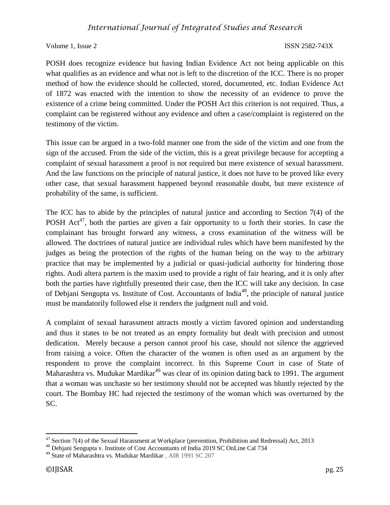### Volume 1, Issue 2 ISSN 2582-743X

POSH does recognize evidence but having Indian Evidence Act not being applicable on this what qualifies as an evidence and what not is left to the discretion of the ICC. There is no proper method of how the evidence should be collected, stored, documented, etc. Indian Evidence Act of 1872 was enacted with the intention to show the necessity of an evidence to prove the existence of a crime being committed. Under the POSH Act this criterion is not required. Thus, a complaint can be registered without any evidence and often a case/complaint is registered on the testimony of the victim.

This issue can be argued in a two-fold manner one from the side of the victim and one from the sign of the accused. From the side of the victim, this is a great privilege because for accepting a complaint of sexual harassment a proof is not required but mere existence of sexual harassment. And the law functions on the principle of natural justice, it does not have to be proved like every other case, that sexual harassment happened beyond reasonable doubt, but mere existence of probability of the same, is sufficient.

The ICC has to abide by the principles of natural justice and according to Section 7(4) of the POSH Act<sup>47</sup>, both the parties are given a fair opportunity to u forth their stories. In case the complainant has brought forward any witness, a cross examination of the witness will be allowed. The doctrines of natural justice are individual rules which have been manifested by the judges as being the protection of the rights of the human being on the way to the arbitrary practice that may be implemented by a judicial or quasi-judicial authority for hindering those rights. Audi altera partem is the maxim used to provide a right of fair hearing, and it is only after both the parties have rightfully presented their case, then the ICC will take any decision. In case of Debjani Sengupta vs. Institute of Cost. Accountants of India<sup>48</sup>, the principle of natural justice must be mandatorily followed else it renders the judgment null and void.

A complaint of sexual harassment attracts mostly a victim favored opinion and understanding and thus it states to be not treated as an empty formality but dealt with precision and utmost dedication. Merely because a person cannot proof his case, should not silence the aggrieved from raising a voice. Often the character of the women is often used as an argument by the respondent to prove the complaint incorrect. In this Supreme Court in case of State of Maharashtra vs. Mudukar Mardikar $49$  was clear of its opinion dating back to 1991. The argument that a woman was unchaste so her testimony should not be accepted was bluntly rejected by the court. The Bombay HC had rejected the testimony of the woman which was overturned by the SC.

 $\overline{\phantom{a}}$ 

 $47$  Section 7(4) of the Sexual Harassment at Workplace (prevention, Prohibition and Redressal) Act, 2013

<sup>48</sup> Debjani Sengupta v. Institute of Cost Accountants of India 2019 SC OnLine Cal 734

<sup>49</sup> State of Maharashtra vs. Mudukar Mardikar , AIR 1991 SC 207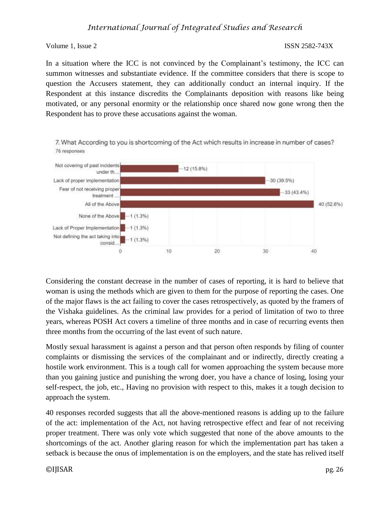In a situation where the ICC is not convinced by the Complainant's testimony, the ICC can summon witnesses and substantiate evidence. If the committee considers that there is scope to question the Accusers statement, they can additionally conduct an internal inquiry. If the Respondent at this instance discredits the Complainants deposition with reasons like being motivated, or any personal enormity or the relationship once shared now gone wrong then the Respondent has to prove these accusations against the woman.



7. What According to you is shortcoming of the Act which results in increase in number of cases? 76 responses

Considering the constant decrease in the number of cases of reporting, it is hard to believe that woman is using the methods which are given to them for the purpose of reporting the cases. One of the major flaws is the act failing to cover the cases retrospectively, as quoted by the framers of the Vishaka guidelines. As the criminal law provides for a period of limitation of two to three years, whereas POSH Act covers a timeline of three months and in case of recurring events then three months from the occurring of the last event of such nature.

Mostly sexual harassment is against a person and that person often responds by filing of counter complaints or dismissing the services of the complainant and or indirectly, directly creating a hostile work environment. This is a tough call for women approaching the system because more than you gaining justice and punishing the wrong doer, you have a chance of losing, losing your self-respect, the job, etc., Having no provision with respect to this, makes it a tough decision to approach the system.

40 responses recorded suggests that all the above-mentioned reasons is adding up to the failure of the act: implementation of the Act, not having retrospective effect and fear of not receiving proper treatment. There was only vote which suggested that none of the above amounts to the shortcomings of the act. Another glaring reason for which the implementation part has taken a setback is because the onus of implementation is on the employers, and the state has relived itself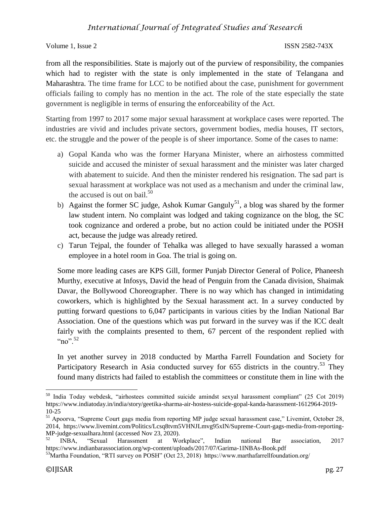Volume 1, Issue 2 ISSN 2582-743X

from all the responsibilities. State is majorly out of the purview of responsibility, the companies which had to register with the state is only implemented in the state of Telangana and Maharashtra. The time frame for LCC to be notified about the case, punishment for government officials failing to comply has no mention in the act. The role of the state especially the state government is negligible in terms of ensuring the enforceability of the Act.

Starting from 1997 to 2017 some major sexual harassment at workplace cases were reported. The industries are vivid and includes private sectors, government bodies, media houses, IT sectors, etc. the struggle and the power of the people is of sheer importance. Some of the cases to name:

- a) Gopal Kanda who was the former Haryana Minister, where an airhostess committed suicide and accused the minister of sexual harassment and the minister was later charged with abatement to suicide. And then the minister rendered his resignation. The sad part is sexual harassment at workplace was not used as a mechanism and under the criminal law, the accused is out on bail. $50$
- b) Against the former SC judge, Ashok Kumar Ganguly<sup>51</sup>, a blog was shared by the former law student intern. No complaint was lodged and taking cognizance on the blog, the SC took cognizance and ordered a probe, but no action could be initiated under the POSH act, because the judge was already retired.
- c) Tarun Tejpal, the founder of Tehalka was alleged to have sexually harassed a woman employee in a hotel room in Goa. The trial is going on.

Some more leading cases are KPS Gill, former Punjab Director General of Police, Phaneesh Murthy, executive at Infosys, David the head of Penguin from the Canada division, Shaimak Davar, the Bollywood Choreographer. There is no way which has changed in intimidating coworkers, which is highlighted by the Sexual harassment act. In a survey conducted by putting forward questions to 6,047 participants in various cities by the Indian National Bar Association. One of the questions which was put forward in the survey was if the ICC dealt fairly with the complaints presented to them, 67 percent of the respondent replied with  $\cdot \cdot \cdot$  no".  $52$ 

In yet another survey in 2018 conducted by Martha Farrell Foundation and Society for Participatory Research in Asia conducted survey for  $655$  districts in the country.<sup>53</sup> They found many districts had failed to establish the committees or constitute them in line with the

 $\overline{\phantom{a}}$ <sup>50</sup> India Today webdesk, "airhostees committed suicide amindst sexyal harassment compliant" (25 Cot 2019) https://www.indiatoday.in/india/story/geetika-sharma-air-hostess-suicide-gopal-kanda-harassment-1612964-2019- 10-25

<sup>51</sup> Apoorva, "Supreme Court gags media from reporting MP judge sexual harassment case," Livemint, October 28, 2014, https://www.livemint.com/Politics/Lcsq8tvm5VHNJLmvg95xIN/Supreme-Court-gags-media-from-reporting-MP-judge-sexualhara.html (accessed Nov 23, 2020).

<sup>52</sup> INBA, "Sexual Harassment at Workplace", Indian national Bar association, 2017 https://www.indianbarassociation.org/wp-content/uploads/2017/07/Garima-1INBAs-Book.pdf

<sup>&</sup>lt;sup>53</sup>Martha Foundation, "RTI survey on POSH" (Oct 23, 2018) https://www.marthafarrellfoundation.org/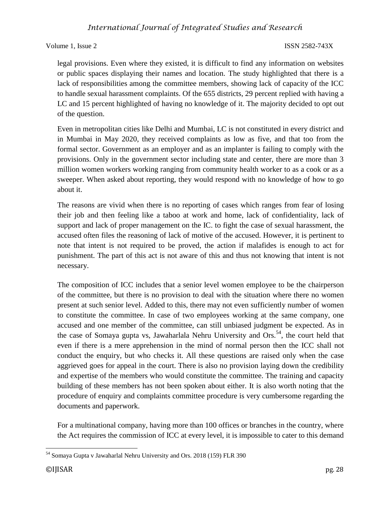Volume 1, Issue 2 ISSN 2582-743X

legal provisions. Even where they existed, it is difficult to find any information on websites or public spaces displaying their names and location. The study highlighted that there is a lack of responsibilities among the committee members, showing lack of capacity of the ICC to handle sexual harassment complaints. Of the 655 districts, 29 percent replied with having a LC and 15 percent highlighted of having no knowledge of it. The majority decided to opt out of the question.

Even in metropolitan cities like Delhi and Mumbai, LC is not constituted in every district and in Mumbai in May 2020, they received complaints as low as five, and that too from the formal sector. Government as an employer and as an implanter is failing to comply with the provisions. Only in the government sector including state and center, there are more than 3 million women workers working ranging from community health worker to as a cook or as a sweeper. When asked about reporting, they would respond with no knowledge of how to go about it.

The reasons are vivid when there is no reporting of cases which ranges from fear of losing their job and then feeling like a taboo at work and home, lack of confidentiality, lack of support and lack of proper management on the IC. to fight the case of sexual harassment, the accused often files the reasoning of lack of motive of the accused. However, it is pertinent to note that intent is not required to be proved, the action if malafides is enough to act for punishment. The part of this act is not aware of this and thus not knowing that intent is not necessary.

The composition of ICC includes that a senior level women employee to be the chairperson of the committee, but there is no provision to deal with the situation where there no women present at such senior level. Added to this, there may not even sufficiently number of women to constitute the committee. In case of two employees working at the same company, one accused and one member of the committee, can still unbiased judgment be expected. As in the case of Somaya gupta vs, Jawaharlala Nehru University and Ors.<sup>54</sup>, the court held that even if there is a mere apprehension in the mind of normal person then the ICC shall not conduct the enquiry, but who checks it. All these questions are raised only when the case aggrieved goes for appeal in the court. There is also no provision laying down the credibility and expertise of the members who would constitute the committee. The training and capacity building of these members has not been spoken about either. It is also worth noting that the procedure of enquiry and complaints committee procedure is very cumbersome regarding the documents and paperwork.

For a multinational company, having more than 100 offices or branches in the country, where the Act requires the commission of ICC at every level, it is impossible to cater to this demand

 $\overline{\phantom{a}}$ <sup>54</sup> Somaya Gupta v Jawaharlal Nehru University and Ors. 2018 (159) FLR 390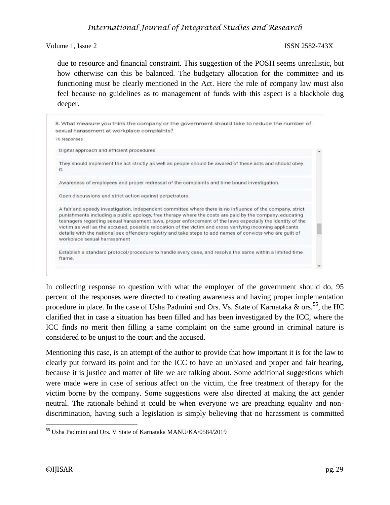Volume 1, Issue 2 ISSN 2582-743X

due to resource and financial constraint. This suggestion of the POSH seems unrealistic, but how otherwise can this be balanced. The budgetary allocation for the committee and its functioning must be clearly mentioned in the Act. Here the role of company law must also feel because no guidelines as to management of funds with this aspect is a blackhole dug deeper.



In collecting response to question with what the employer of the government should do, 95 percent of the responses were directed to creating awareness and having proper implementation procedure in place. In the case of Usha Padmini and Ors. Vs. State of Karnataka & ors.<sup>55</sup>, the HC clarified that in case a situation has been filled and has been investigated by the ICC, where the ICC finds no merit then filling a same complaint on the same ground in criminal nature is considered to be unjust to the court and the accused.

Mentioning this case, is an attempt of the author to provide that how important it is for the law to clearly put forward its point and for the ICC to have an unbiased and proper and fair hearing, because it is justice and matter of life we are talking about. Some additional suggestions which were made were in case of serious affect on the victim, the free treatment of therapy for the victim borne by the company. Some suggestions were also directed at making the act gender neutral. The rationale behind it could be when everyone we are preaching equality and nondiscrimination, having such a legislation is simply believing that no harassment is committed

 $\overline{\phantom{a}}$ 

<sup>55</sup> Usha Padmini and Ors. V State of Karnataka MANU/KA/0584/2019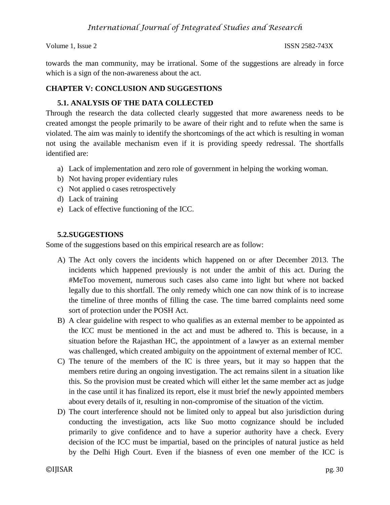towards the man community, may be irrational. Some of the suggestions are already in force which is a sign of the non-awareness about the act.

### **CHAPTER V: CONCLUSION AND SUGGESTIONS**

### **5.1. ANALYSIS OF THE DATA COLLECTED**

Through the research the data collected clearly suggested that more awareness needs to be created amongst the people primarily to be aware of their right and to refute when the same is violated. The aim was mainly to identify the shortcomings of the act which is resulting in woman not using the available mechanism even if it is providing speedy redressal. The shortfalls identified are:

- a) Lack of implementation and zero role of government in helping the working woman.
- b) Not having proper evidentiary rules
- c) Not applied o cases retrospectively
- d) Lack of training
- e) Lack of effective functioning of the ICC.

### **5.2.SUGGESTIONS**

Some of the suggestions based on this empirical research are as follow:

- A) The Act only covers the incidents which happened on or after December 2013. The incidents which happened previously is not under the ambit of this act. During the #MeToo movement, numerous such cases also came into light but where not backed legally due to this shortfall. The only remedy which one can now think of is to increase the timeline of three months of filling the case. The time barred complaints need some sort of protection under the POSH Act.
- B) A clear guideline with respect to who qualifies as an external member to be appointed as the ICC must be mentioned in the act and must be adhered to. This is because, in a situation before the Rajasthan HC, the appointment of a lawyer as an external member was challenged, which created ambiguity on the appointment of external member of ICC.
- C) The tenure of the members of the IC is three years, but it may so happen that the members retire during an ongoing investigation. The act remains silent in a situation like this. So the provision must be created which will either let the same member act as judge in the case until it has finalized its report, else it must brief the newly appointed members about every details of it, resulting in non-compromise of the situation of the victim.
- D) The court interference should not be limited only to appeal but also jurisdiction during conducting the investigation, acts like Suo motto cognizance should be included primarily to give confidence and to have a superior authority have a check. Every decision of the ICC must be impartial, based on the principles of natural justice as held by the Delhi High Court. Even if the biasness of even one member of the ICC is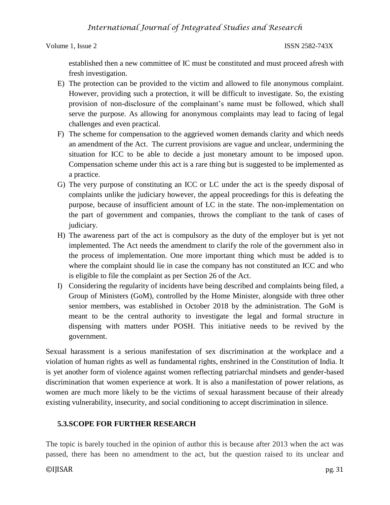Volume 1, Issue 2 ISSN 2582-743X

established then a new committee of IC must be constituted and must proceed afresh with fresh investigation.

- E) The protection can be provided to the victim and allowed to file anonymous complaint. However, providing such a protection, it will be difficult to investigate. So, the existing provision of non-disclosure of the complainant's name must be followed, which shall serve the purpose. As allowing for anonymous complaints may lead to facing of legal challenges and even practical.
- F) The scheme for compensation to the aggrieved women demands clarity and which needs an amendment of the Act. The current provisions are vague and unclear, undermining the situation for ICC to be able to decide a just monetary amount to be imposed upon. Compensation scheme under this act is a rare thing but is suggested to be implemented as a practice.
- G) The very purpose of constituting an ICC or LC under the act is the speedy disposal of complaints unlike the judiciary however, the appeal proceedings for this is defeating the purpose, because of insufficient amount of LC in the state. The non-implementation on the part of government and companies, throws the compliant to the tank of cases of judiciary.
- H) The awareness part of the act is compulsory as the duty of the employer but is yet not implemented. The Act needs the amendment to clarify the role of the government also in the process of implementation. One more important thing which must be added is to where the complaint should lie in case the company has not constituted an ICC and who is eligible to file the complaint as per Section 26 of the Act.
- I) Considering the regularity of incidents have being described and complaints being filed, a Group of Ministers (GoM), controlled by the Home Minister, alongside with three other senior members, was established in October 2018 by the administration. The GoM is meant to be the central authority to investigate the legal and formal structure in dispensing with matters under POSH. This initiative needs to be revived by the government.

Sexual harassment is a serious manifestation of sex discrimination at the workplace and a violation of human rights as well as fundamental rights, enshrined in the Constitution of India. It is yet another form of violence against women reflecting patriarchal mindsets and gender-based discrimination that women experience at work. It is also a manifestation of power relations, as women are much more likely to be the victims of sexual harassment because of their already existing vulnerability, insecurity, and social conditioning to accept discrimination in silence.

### **5.3.SCOPE FOR FURTHER RESEARCH**

The topic is barely touched in the opinion of author this is because after 2013 when the act was passed, there has been no amendment to the act, but the question raised to its unclear and

©IJISAR pg. 31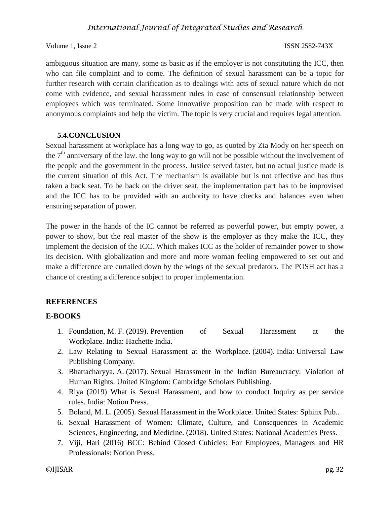Volume 1, Issue 2 ISSN 2582-743X

ambiguous situation are many, some as basic as if the employer is not constituting the ICC, then who can file complaint and to come. The definition of sexual harassment can be a topic for further research with certain clarification as to dealings with acts of sexual nature which do not come with evidence, and sexual harassment rules in case of consensual relationship between employees which was terminated. Some innovative proposition can be made with respect to anonymous complaints and help the victim. The topic is very crucial and requires legal attention.

### **5.4.CONCLUSION**

Sexual harassment at workplace has a long way to go, as quoted by Zia Mody on her speech on the  $7<sup>th</sup>$  anniversary of the law. the long way to go will not be possible without the involvement of the people and the government in the process. Justice served faster, but no actual justice made is the current situation of this Act. The mechanism is available but is not effective and has thus taken a back seat. To be back on the driver seat, the implementation part has to be improvised and the ICC has to be provided with an authority to have checks and balances even when ensuring separation of power.

The power in the hands of the IC cannot be referred as powerful power, but empty power, a power to show, but the real master of the show is the employer as they make the ICC, they implement the decision of the ICC. Which makes ICC as the holder of remainder power to show its decision. With globalization and more and more woman feeling empowered to set out and make a difference are curtailed down by the wings of the sexual predators. The POSH act has a chance of creating a difference subject to proper implementation.

### **REFERENCES**

### **E-BOOKS**

- 1. Foundation, M. F. (2019). Prevention of Sexual Harassment at the Workplace. India: Hachette India.
- 2. Law Relating to Sexual Harassment at the Workplace. (2004). India: Universal Law Publishing Company.
- 3. Bhattacharyya, A. (2017). Sexual Harassment in the Indian Bureaucracy: Violation of Human Rights. United Kingdom: Cambridge Scholars Publishing.
- 4. Riya (2019) What is Sexual Harassment, and how to conduct Inquiry as per service rules. India: Notion Press.
- 5. Boland, M. L. (2005). Sexual Harassment in the Workplace. United States: Sphinx Pub..
- 6. Sexual Harassment of Women: Climate, Culture, and Consequences in Academic Sciences, Engineering, and Medicine. (2018). United States: National Academies Press.
- 7. Viji, Hari (2016) BCC: Behind Closed Cubicles: For Employees, Managers and HR Professionals: Notion Press.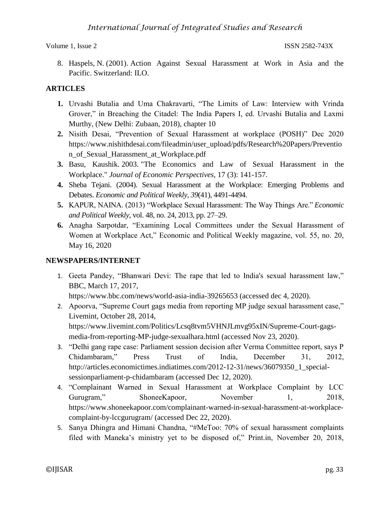8. Haspels, N. (2001). Action Against Sexual Harassment at Work in Asia and the Pacific. Switzerland: ILO.

### **ARTICLES**

- **1.** Urvashi Butalia and Uma Chakravarti, "The Limits of Law: Interview with Vrinda Grover," in Breaching the Citadel: The India Papers I, ed. Urvashi Butalia and Laxmi Murthy, (New Delhi: Zubaan, 2018), chapter 10
- **2.** Nisith Desai, "Prevention of Sexual Harassment at workplace (POSH)" Dec 2020 https://www.nishithdesai.com/fileadmin/user\_upload/pdfs/Research%20Papers/Preventio n\_of\_Sexual\_Harassment\_at\_Workplace.pdf
- **3.** Basu, Kaushik. 2003. "The Economics and Law of Sexual Harassment in the Workplace." *Journal of Economic Perspectives*, 17 (3): 141-157.
- **4.** Sheba Tejani. (2004). Sexual Harassment at the Workplace: Emerging Problems and Debates. *Economic and Political Weekly, 39*(41), 4491-4494.
- **5.** KAPUR, NAINA. (2013) "Workplace Sexual Harassment: The Way Things Are." *Economic and Political Weekly*, vol. 48, no. 24, 2013, pp. 27–29.
- **6.** Anagha Sarpotdar, "Examining Local Committees under the Sexual Harassment of Women at Workplace Act," Economic and Political Weekly magazine, vol. 55, no. 20, May 16, 2020

### **NEWSPAPERS/INTERNET**

1. Geeta Pandey, "Bhanwari Devi: The rape that led to India's sexual harassment law," BBC, March 17, 2017,

https://www.bbc.com/news/world-asia-india-39265653 (accessed dec 4, 2020).

2. Apoorva, "Supreme Court gags media from reporting MP judge sexual harassment case," Livemint, October 28, 2014, https://www.livemint.com/Politics/Lcsq8tvm5VHNJLmvg95xIN/Supreme-Court-gags-

media-from-reporting-MP-judge-sexualhara.html (accessed Nov 23, 2020).

- 3. "Delhi gang rape case: Parliament session decision after Verma Committee report, says P Chidambaram," Press Trust of India, December 31, 2012, http://articles.economictimes.indiatimes.com/2012-12-31/news/36079350\_1\_specialsessionparliament-p-chidambaram (accessed Dec 12, 2020).
- 4. "Complainant Warned in Sexual Harassment at Workplace Complaint by LCC Gurugram," ShoneeKapoor, November 1, 2018, https://www.shoneekapoor.com/complainant-warned-in-sexual-harassment-at-workplacecomplaint-by-lccgurugram/ (accessed Dec 22, 2020).
- 5. Sanya Dhingra and Himani Chandna, "#MeToo: 70% of sexual harassment complaints filed with Maneka's ministry yet to be disposed of," Print.in, November 20, 2018,